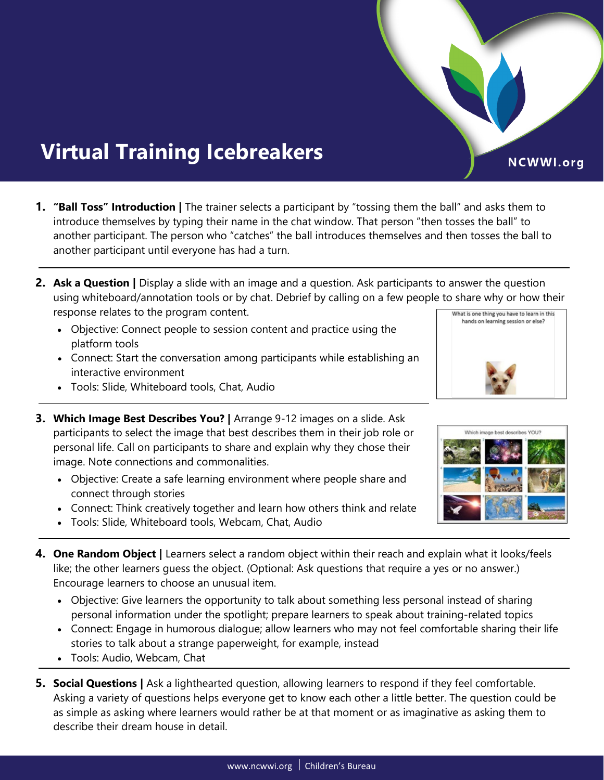## **Virtual Training Icebreakers**

- **1. "Ball Toss" Introduction |** The trainer selects a participant by "tossing them the ball" and asks them to introduce themselves by typing their name in the chat window. That person "then tosses the ball" to another participant. The person who "catches" the ball introduces themselves and then tosses the ball to another participant until everyone has had a turn.
- **2. Ask a Question |** Display a slide with an image and a question. Ask participants to answer the question using whiteboard/annotation tools or by chat. Debrief by calling on a few people to share why or how their response relates to the program content. What is one thing you have to learn in this hands on learning session or else?
	- Objective: Connect people to session content and practice using the platform tools
	- Connect: Start the conversation among participants while establishing an interactive environment
	- Tools: Slide, Whiteboard tools, Chat, Audio
- **3. Which Image Best Describes You? |** Arrange 9-12 images on a slide. Ask participants to select the image that best describes them in their job role or personal life. Call on participants to share and explain why they chose their image. Note connections and commonalities.
	- Objective: Create a safe learning environment where people share and connect through stories
	- Connect: Think creatively together and learn how others think and relate
	- Tools: Slide, Whiteboard tools, Webcam, Chat, Audio
- **4. One Random Object |** Learners select a random object within their reach and explain what it looks/feels like; the other learners guess the object. (Optional: Ask questions that require a yes or no answer.) Encourage learners to choose an unusual item.
	- Objective: Give learners the opportunity to talk about something less personal instead of sharing personal information under the spotlight; prepare learners to speak about training-related topics
	- Connect: Engage in humorous dialogue; allow learners who may not feel comfortable sharing their life stories to talk about a strange paperweight, for example, instead
	- Tools: Audio, Webcam, Chat
- **5. Social Questions |** Ask a lighthearted question, allowing learners to respond if they feel comfortable. Asking a variety of questions helps everyone get to know each other a little better. The question could be as simple as asking where learners would rather be at that moment or as imaginative as asking them to describe their dream house in detail.





NCWWI.org